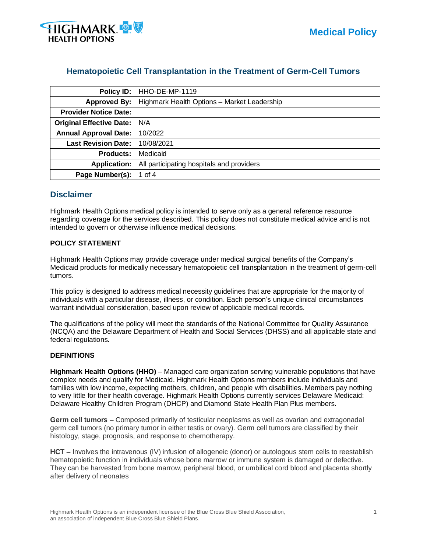

# **Hematopoietic Cell Transplantation in the Treatment of Germ-Cell Tumors**

| Policy ID:                      | <b>HHO-DE-MP-1119</b>                       |  |  |  |
|---------------------------------|---------------------------------------------|--|--|--|
| <b>Approved By:</b>             | Highmark Health Options - Market Leadership |  |  |  |
| <b>Provider Notice Date:</b>    |                                             |  |  |  |
| <b>Original Effective Date:</b> | N/A                                         |  |  |  |
| <b>Annual Approval Date:</b>    | 10/2022                                     |  |  |  |
| <b>Last Revision Date:</b>      | 10/08/2021                                  |  |  |  |
| <b>Products:</b>                | Medicaid                                    |  |  |  |
| <b>Application:</b>             | All participating hospitals and providers   |  |  |  |
| Page Number(s):                 | 1 of 4                                      |  |  |  |

# **Disclaimer**

Highmark Health Options medical policy is intended to serve only as a general reference resource regarding coverage for the services described. This policy does not constitute medical advice and is not intended to govern or otherwise influence medical decisions.

## **POLICY STATEMENT**

Highmark Health Options may provide coverage under medical surgical benefits of the Company's Medicaid products for medically necessary hematopoietic cell transplantation in the treatment of germ-cell tumors.

This policy is designed to address medical necessity guidelines that are appropriate for the majority of individuals with a particular disease, illness, or condition. Each person's unique clinical circumstances warrant individual consideration, based upon review of applicable medical records.

The qualifications of the policy will meet the standards of the National Committee for Quality Assurance (NCQA) and the Delaware Department of Health and Social Services (DHSS) and all applicable state and federal regulations.

### **DEFINITIONS**

**Highmark Health Options (HHO)** – Managed care organization serving vulnerable populations that have complex needs and qualify for Medicaid. Highmark Health Options members include individuals and families with low income, expecting mothers, children, and people with disabilities. Members pay nothing to very little for their health coverage. Highmark Health Options currently services Delaware Medicaid: Delaware Healthy Children Program (DHCP) and Diamond State Health Plan Plus members.

**Germ cell tumors** – Composed primarily of testicular neoplasms as well as ovarian and extragonadal germ cell tumors (no primary tumor in either testis or ovary). Germ cell tumors are classified by their histology, stage, prognosis, and response to chemotherapy.

**HCT** – Involves the intravenous (IV) infusion of allogeneic (donor) or autologous stem cells to reestablish hematopoietic function in individuals whose bone marrow or immune system is damaged or defective. They can be harvested from bone marrow, peripheral blood, or umbilical cord blood and placenta shortly after delivery of neonates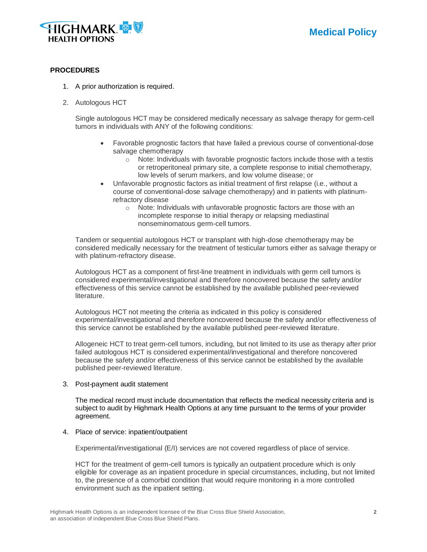

## **PROCEDURES**

- 1. A prior authorization is required.
- 2. Autologous HCT

Single autologous HCT may be considered medically necessary as salvage therapy for germ-cell tumors in individuals with ANY of the following conditions:

- Favorable prognostic factors that have failed a previous course of conventional-dose salvage chemotherapy
	- $\circ$  Note: Individuals with favorable prognostic factors include those with a testis or retroperitoneal primary site, a complete response to initial chemotherapy, low levels of serum markers, and low volume disease; or
- Unfavorable prognostic factors as initial treatment of first relapse (i.e., without a course of conventional-dose salvage chemotherapy) and in patients with platinumrefractory disease
	- o Note: Individuals with unfavorable prognostic factors are those with an incomplete response to initial therapy or relapsing mediastinal nonseminomatous germ-cell tumors.

Tandem or sequential autologous HCT or transplant with high-dose chemotherapy may be considered medically necessary for the treatment of testicular tumors either as salvage therapy or with platinum-refractory disease.

Autologous HCT as a component of first-line treatment in individuals with germ cell tumors is considered experimental/investigational and therefore noncovered because the safety and/or effectiveness of this service cannot be established by the available published peer-reviewed literature.

Autologous HCT not meeting the criteria as indicated in this policy is considered experimental/investigational and therefore noncovered because the safety and/or effectiveness of this service cannot be established by the available published peer-reviewed literature.

Allogeneic HCT to treat germ-cell tumors, including, but not limited to its use as therapy after prior failed autologous HCT is considered experimental/investigational and therefore noncovered because the safety and/or effectiveness of this service cannot be established by the available published peer-reviewed literature.

#### 3. Post-payment audit statement

The medical record must include documentation that reflects the medical necessity criteria and is subject to audit by Highmark Health Options at any time pursuant to the terms of your provider agreement.

### 4. Place of service: inpatient/outpatient

Experimental/investigational (E/I) services are not covered regardless of place of service.

HCT for the treatment of germ-cell tumors is typically an outpatient procedure which is only eligible for coverage as an inpatient procedure in special circumstances, including, but not limited to, the presence of a comorbid condition that would require monitoring in a more controlled environment such as the inpatient setting.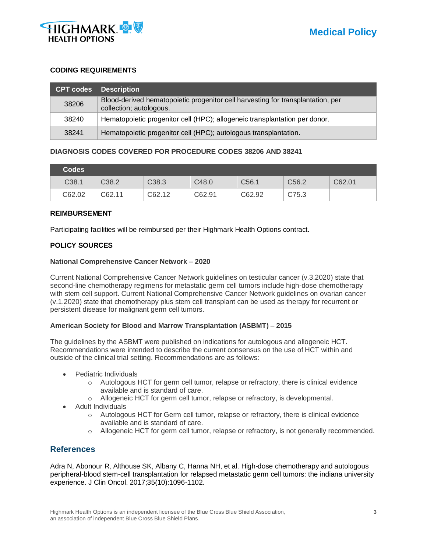

### **CODING REQUIREMENTS**

| <b>CPT codes</b> | <b>Description</b>                                                                                         |
|------------------|------------------------------------------------------------------------------------------------------------|
| 38206            | Blood-derived hematopoietic progenitor cell harvesting for transplantation, per<br>collection; autologous. |
| 38240            | Hematopoietic progenitor cell (HPC); allogeneic transplantation per donor.                                 |
| 38241            | Hematopoietic progenitor cell (HPC); autologous transplantation.                                           |

## **DIAGNOSIS CODES COVERED FOR PROCEDURE CODES 38206 AND 38241**

| <b>Codes</b> |        |                   |        |                   |                   |        |
|--------------|--------|-------------------|--------|-------------------|-------------------|--------|
| C38.1        | C38.2  | C <sub>38.3</sub> | C48.0  | C <sub>56.1</sub> | C <sub>56.2</sub> | C62.01 |
| C62.02       | C62.11 | C62.12            | C62.91 | C62.92            | C75.3             |        |

#### **REIMBURSEMENT**

Participating facilities will be reimbursed per their Highmark Health Options contract.

## **POLICY SOURCES**

#### **National Comprehensive Cancer Network – 2020**

Current National Comprehensive Cancer Network guidelines on testicular cancer (v.3.2020) state that second-line chemotherapy regimens for metastatic germ cell tumors include high-dose chemotherapy with stem cell support. Current National Comprehensive Cancer Network guidelines on ovarian cancer (v.1.2020) state that chemotherapy plus stem cell transplant can be used as therapy for recurrent or persistent disease for malignant germ cell tumors.

### **American Society for Blood and Marrow Transplantation (ASBMT) – 2015**

The guidelines by the ASBMT were published on indications for autologous and allogeneic HCT. Recommendations were intended to describe the current consensus on the use of HCT within and outside of the clinical trial setting. Recommendations are as follows:

- Pediatric Individuals
	- $\circ$  Autologous HCT for germ cell tumor, relapse or refractory, there is clinical evidence available and is standard of care.
	- o Allogeneic HCT for germ cell tumor, relapse or refractory, is developmental.
- Adult Individuals
	- $\circ$  Autologous HCT for Germ cell tumor, relapse or refractory, there is clinical evidence available and is standard of care.
	- o Allogeneic HCT for germ cell tumor, relapse or refractory, is not generally recommended.

# **References**

Adra N, Abonour R, Althouse SK, Albany C, Hanna NH, et al. High-dose chemotherapy and autologous peripheral-blood stem-cell transplantation for relapsed metastatic germ cell tumors: the indiana university experience. J Clin Oncol. 2017;35(10):1096-1102.